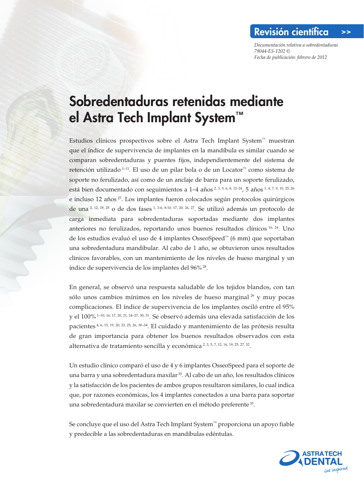*Documentación relativa a sobredentaduras 79044-ES-1202 © Fecha de publicación: febrero de 2012*

## Sobredentaduras retenidas mediante el Astra Tech Implant System™

Estudios clínicos prospectivos sobre el Astra Tech Implant System™ muestran que el índice de supervivencia de implantes en la mandíbula es similar cuando se comparan sobredentaduras y puentes fijos, independientemente del sistema de retención utilizado 1–11. El uso de un pilar bola o de un Locator™ como sistema de soporte no ferulizado, así como de un anclaje de barra para un soporte ferulizado, está bien documentado con seguimientos a 1–4 años 2, 3, 5, 6, 8, 12–24, 5 años 1, 4, 7, 9, 10, 25, 26 e incluso 12 años<sup>27</sup>. Los implantes fueron colocados según protocolos quirúrgicos de una 2, 12, 19, 25 o de dos fases 1, 3-6, 8-10, 17, 20, 26, 27. Se utilizó además un protocolo de carga inmediata para sobredentaduras soportadas mediante dos implantes anteriores no ferulizados, reportando unos buenos resultados clínicos 16, 24. Uno de los estudios evaluó el uso de 4 implantes OsseoSpeed™ (6 mm) que soportaban una sobredentadura mandibular. Al cabo de 1 año, se obtuvieron unos resultados clínicos favorables, con un mantenimiento de los niveles de hueso marginal y un índice de supervivencia de los implantes del 96% 28.

En general, se observó una respuesta saludable de los tejidos blandos, con tan sólo unos cambios mínimos en los niveles de hueso marginal  $^{29}$  y muy pocas complicaciones. El índice de supervivencia de los implantes osciló entre el 95% y el 100% 1–10, 16, 17, 20, 21, 24–27, 30, 31. Se observó además una elevada satisfacción de los pacientes 4, 6, 15, 19, 20, 23, 25, 26, 30–34. El cuidado y mantenimiento de las prótesis resulta de gran importancia para obtener los buenos resultados observados con esta alternativa de tratamiento sencilla y económica 2, 3, 5, 7, 12, 16, 19, 25, 27, 32.

Un estudio clínico comparó el uso de 4 y 6 implantes OsseoSpeed para el soporte de una barra y una sobredentadura maxilar 35. Al cabo de un año, los resultados clínicos y la satisfacción de los pacientes de ambos grupos resultaron similares, lo cual indica que, por razones económicas, los 4 implantes conectados a una barra para soportar una sobredentadura maxilar se convierten en el método preferente 35.

Se concluye que el uso del Astra Tech Implant System™ proporciona un apoyo fiable y predecible a las sobredentaduras en mandíbulas edéntulas.